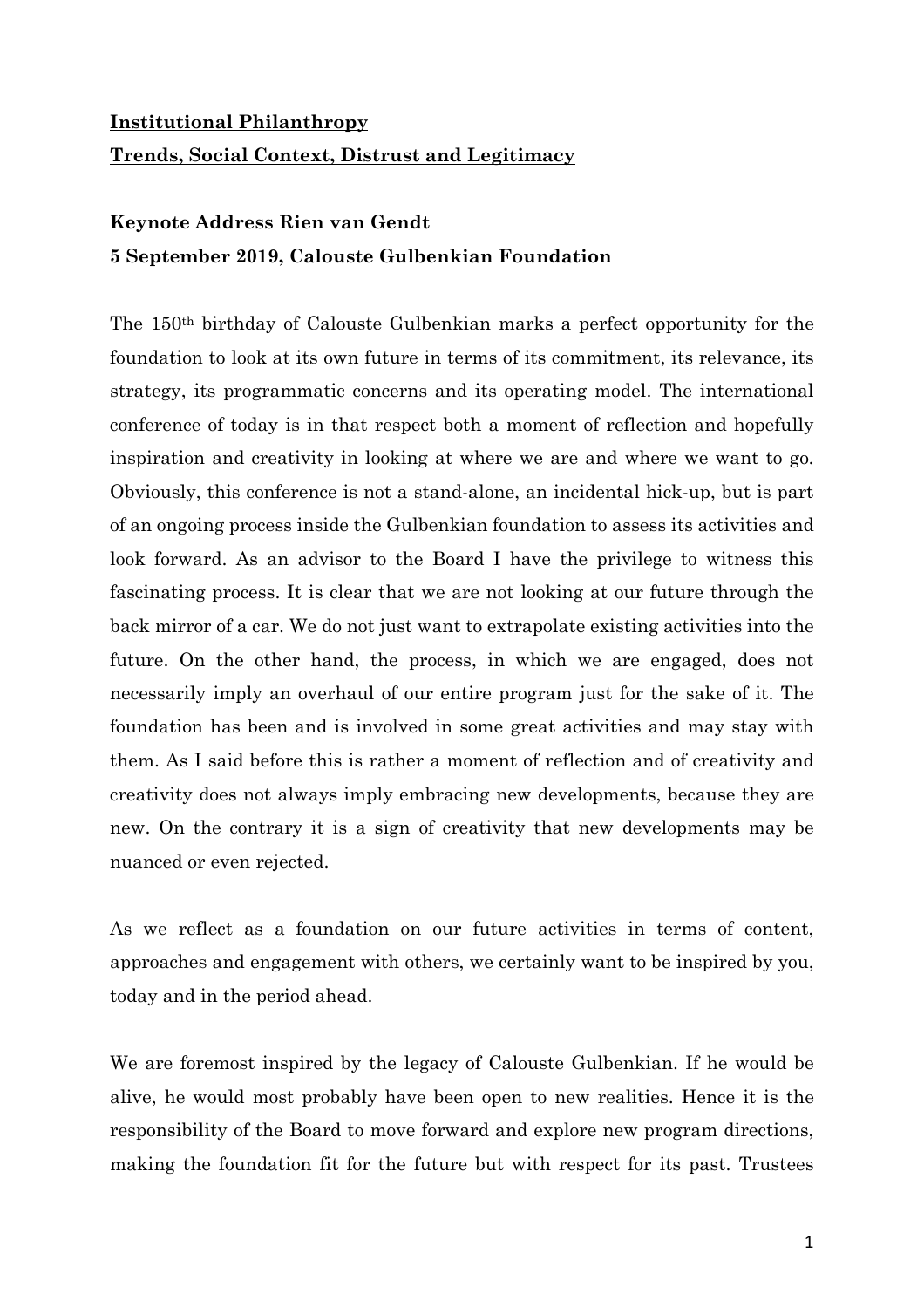## **Institutional Philanthropy Trends, Social Context, Distrust and Legitimacy**

## **Keynote Address Rien van Gendt 5 September 2019, Calouste Gulbenkian Foundation**

The 150th birthday of Calouste Gulbenkian marks a perfect opportunity for the foundation to look at its own future in terms of its commitment, its relevance, its strategy, its programmatic concerns and its operating model. The international conference of today is in that respect both a moment of reflection and hopefully inspiration and creativity in looking at where we are and where we want to go. Obviously, this conference is not a stand-alone, an incidental hick-up, but is part of an ongoing process inside the Gulbenkian foundation to assess its activities and look forward. As an advisor to the Board I have the privilege to witness this fascinating process. It is clear that we are not looking at our future through the back mirror of a car. We do not just want to extrapolate existing activities into the future. On the other hand, the process, in which we are engaged, does not necessarily imply an overhaul of our entire program just for the sake of it. The foundation has been and is involved in some great activities and may stay with them. As I said before this is rather a moment of reflection and of creativity and creativity does not always imply embracing new developments, because they are new. On the contrary it is a sign of creativity that new developments may be nuanced or even rejected.

As we reflect as a foundation on our future activities in terms of content, approaches and engagement with others, we certainly want to be inspired by you, today and in the period ahead.

We are foremost inspired by the legacy of Calouste Gulbenkian. If he would be alive, he would most probably have been open to new realities. Hence it is the responsibility of the Board to move forward and explore new program directions, making the foundation fit for the future but with respect for its past. Trustees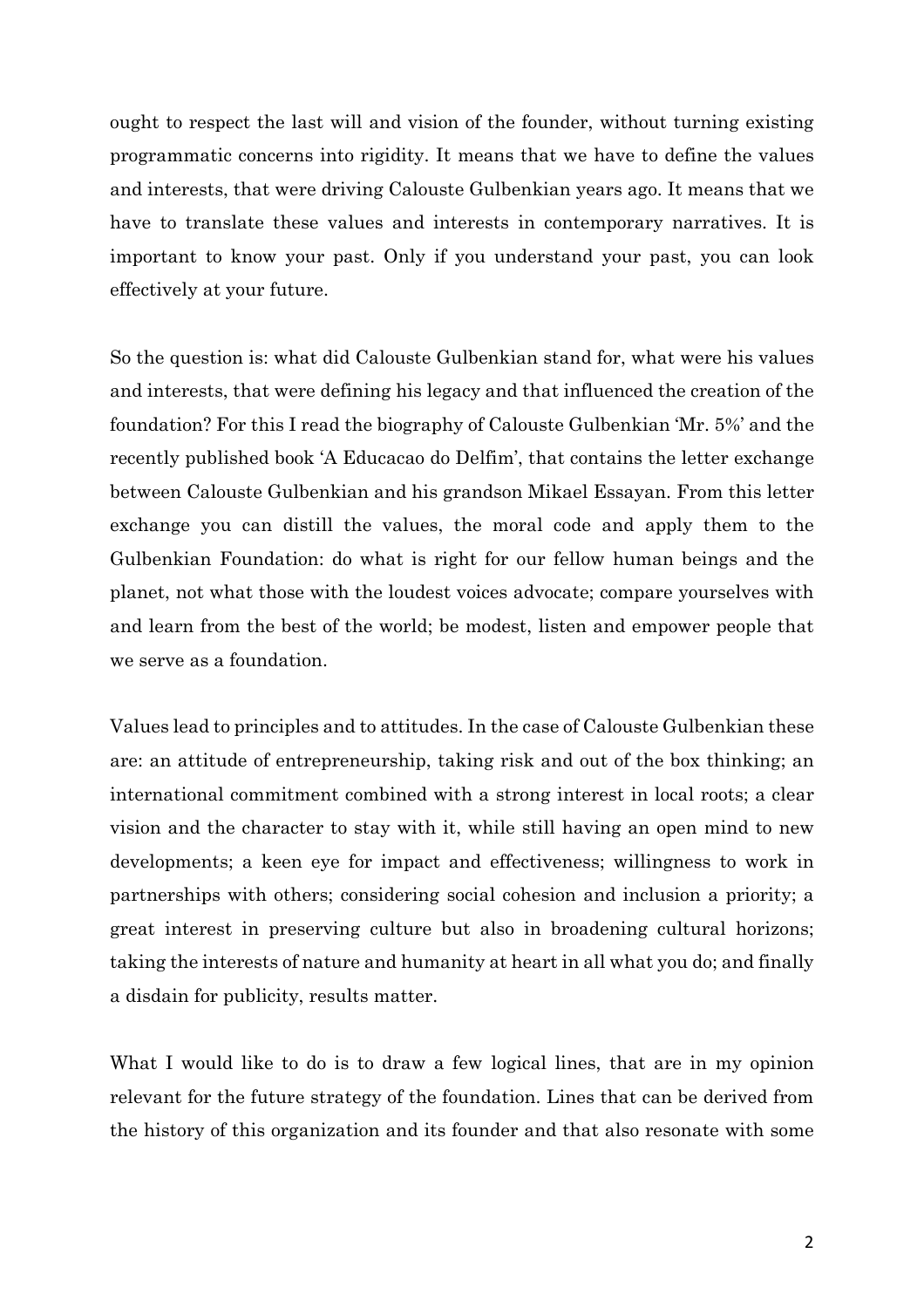ought to respect the last will and vision of the founder, without turning existing programmatic concerns into rigidity. It means that we have to define the values and interests, that were driving Calouste Gulbenkian years ago. It means that we have to translate these values and interests in contemporary narratives. It is important to know your past. Only if you understand your past, you can look effectively at your future.

So the question is: what did Calouste Gulbenkian stand for, what were his values and interests, that were defining his legacy and that influenced the creation of the foundation? For this I read the biography of Calouste Gulbenkian 'Mr. 5%' and the recently published book 'A Educacao do Delfim', that contains the letter exchange between Calouste Gulbenkian and his grandson Mikael Essayan. From this letter exchange you can distill the values, the moral code and apply them to the Gulbenkian Foundation: do what is right for our fellow human beings and the planet, not what those with the loudest voices advocate; compare yourselves with and learn from the best of the world; be modest, listen and empower people that we serve as a foundation.

Values lead to principles and to attitudes. In the case of Calouste Gulbenkian these are: an attitude of entrepreneurship, taking risk and out of the box thinking; an international commitment combined with a strong interest in local roots; a clear vision and the character to stay with it, while still having an open mind to new developments; a keen eye for impact and effectiveness; willingness to work in partnerships with others; considering social cohesion and inclusion a priority; a great interest in preserving culture but also in broadening cultural horizons; taking the interests of nature and humanity at heart in all what you do; and finally a disdain for publicity, results matter.

What I would like to do is to draw a few logical lines, that are in my opinion relevant for the future strategy of the foundation. Lines that can be derived from the history of this organization and its founder and that also resonate with some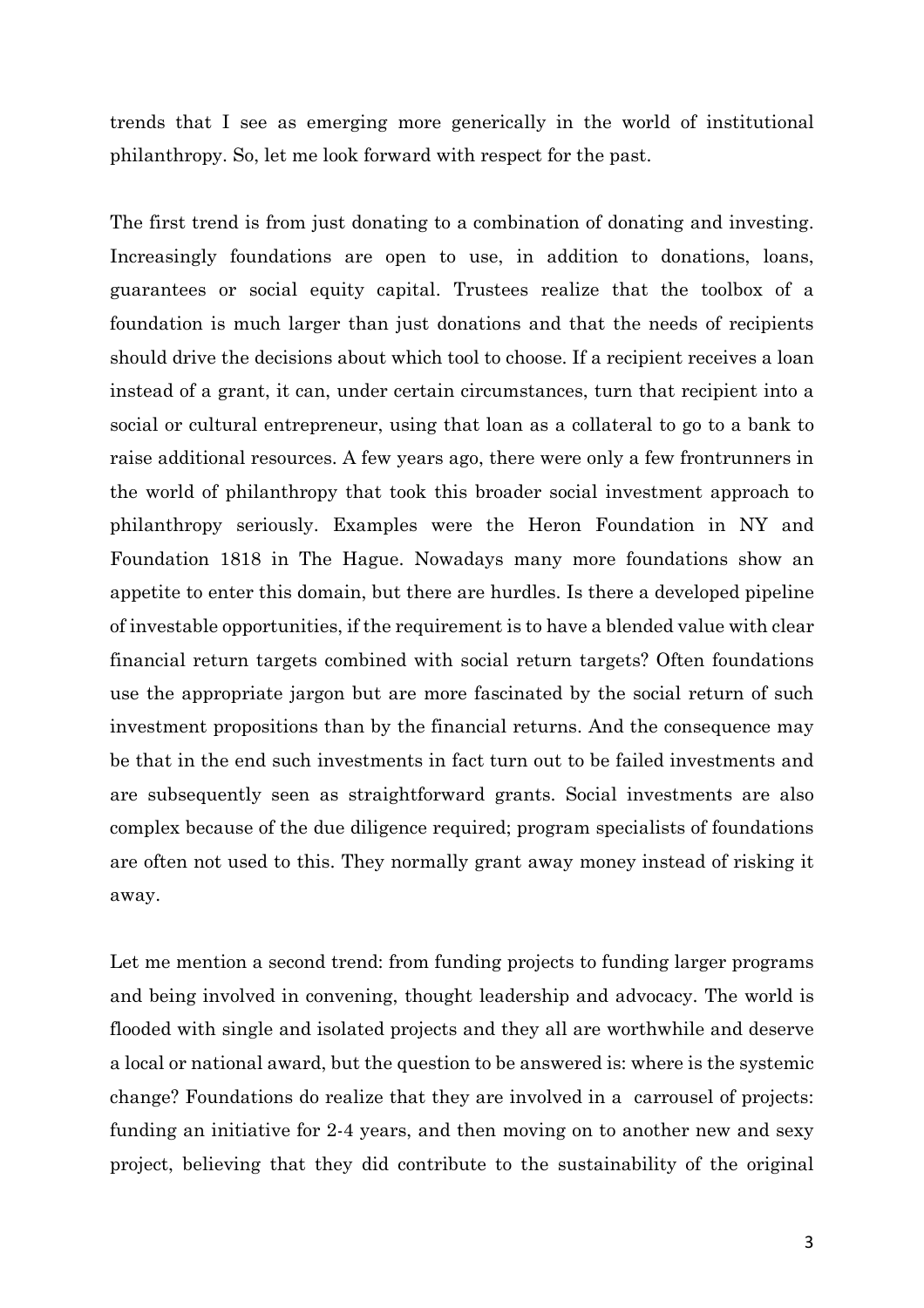trends that I see as emerging more generically in the world of institutional philanthropy. So, let me look forward with respect for the past.

The first trend is from just donating to a combination of donating and investing. Increasingly foundations are open to use, in addition to donations, loans, guarantees or social equity capital. Trustees realize that the toolbox of a foundation is much larger than just donations and that the needs of recipients should drive the decisions about which tool to choose. If a recipient receives a loan instead of a grant, it can, under certain circumstances, turn that recipient into a social or cultural entrepreneur, using that loan as a collateral to go to a bank to raise additional resources. A few years ago, there were only a few frontrunners in the world of philanthropy that took this broader social investment approach to philanthropy seriously. Examples were the Heron Foundation in NY and Foundation 1818 in The Hague. Nowadays many more foundations show an appetite to enter this domain, but there are hurdles. Is there a developed pipeline of investable opportunities, if the requirement is to have a blended value with clear financial return targets combined with social return targets? Often foundations use the appropriate jargon but are more fascinated by the social return of such investment propositions than by the financial returns. And the consequence may be that in the end such investments in fact turn out to be failed investments and are subsequently seen as straightforward grants. Social investments are also complex because of the due diligence required; program specialists of foundations are often not used to this. They normally grant away money instead of risking it away.

Let me mention a second trend: from funding projects to funding larger programs and being involved in convening, thought leadership and advocacy. The world is flooded with single and isolated projects and they all are worthwhile and deserve a local or national award, but the question to be answered is: where is the systemic change? Foundations do realize that they are involved in a carrousel of projects: funding an initiative for 2-4 years, and then moving on to another new and sexy project, believing that they did contribute to the sustainability of the original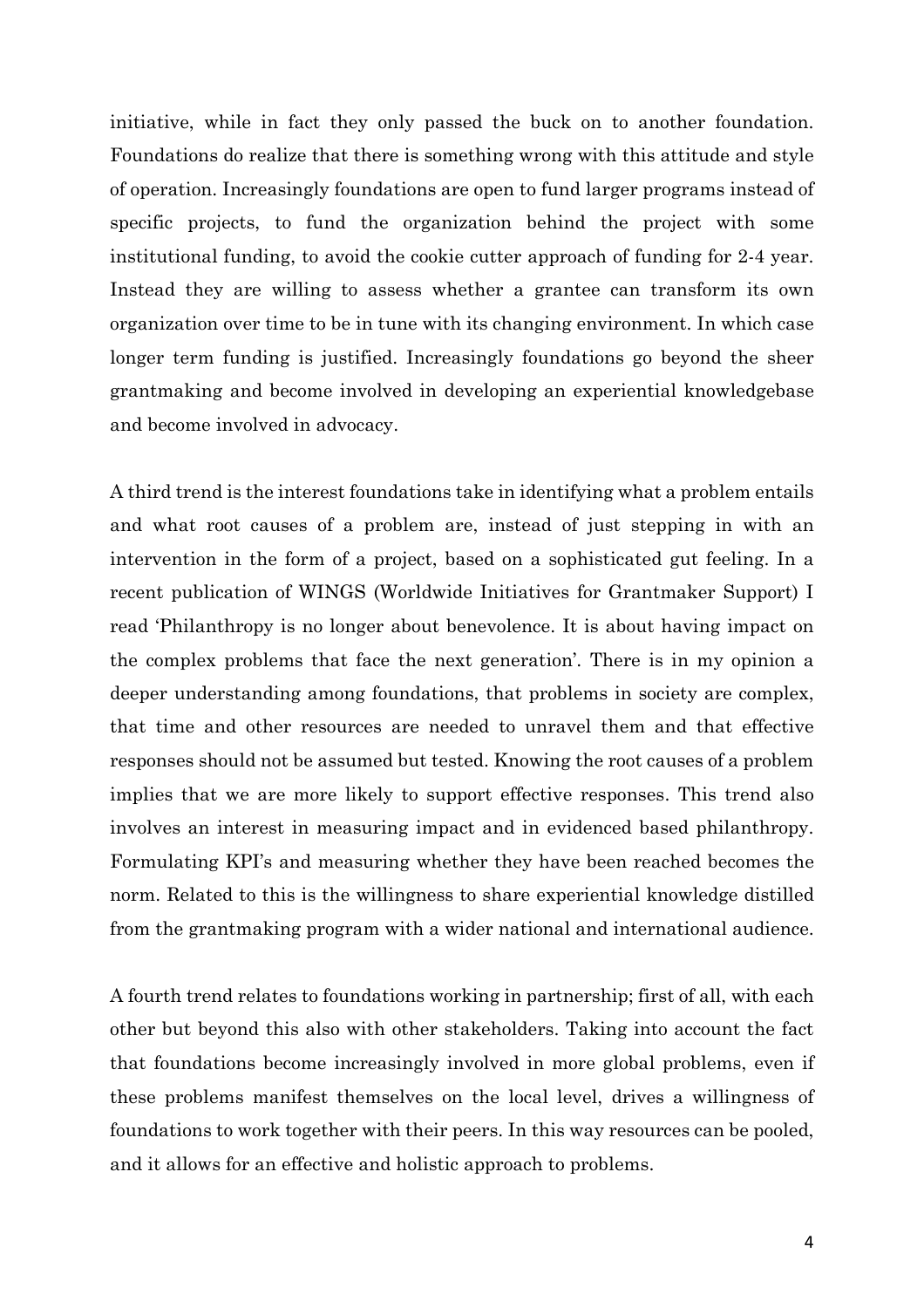initiative, while in fact they only passed the buck on to another foundation. Foundations do realize that there is something wrong with this attitude and style of operation. Increasingly foundations are open to fund larger programs instead of specific projects, to fund the organization behind the project with some institutional funding, to avoid the cookie cutter approach of funding for 2-4 year. Instead they are willing to assess whether a grantee can transform its own organization over time to be in tune with its changing environment. In which case longer term funding is justified. Increasingly foundations go beyond the sheer grantmaking and become involved in developing an experiential knowledgebase and become involved in advocacy.

A third trend is the interest foundations take in identifying what a problem entails and what root causes of a problem are, instead of just stepping in with an intervention in the form of a project, based on a sophisticated gut feeling. In a recent publication of WINGS (Worldwide Initiatives for Grantmaker Support) I read 'Philanthropy is no longer about benevolence. It is about having impact on the complex problems that face the next generation'. There is in my opinion a deeper understanding among foundations, that problems in society are complex, that time and other resources are needed to unravel them and that effective responses should not be assumed but tested. Knowing the root causes of a problem implies that we are more likely to support effective responses. This trend also involves an interest in measuring impact and in evidenced based philanthropy. Formulating KPI's and measuring whether they have been reached becomes the norm. Related to this is the willingness to share experiential knowledge distilled from the grantmaking program with a wider national and international audience.

A fourth trend relates to foundations working in partnership; first of all, with each other but beyond this also with other stakeholders. Taking into account the fact that foundations become increasingly involved in more global problems, even if these problems manifest themselves on the local level, drives a willingness of foundations to work together with their peers. In this way resources can be pooled, and it allows for an effective and holistic approach to problems.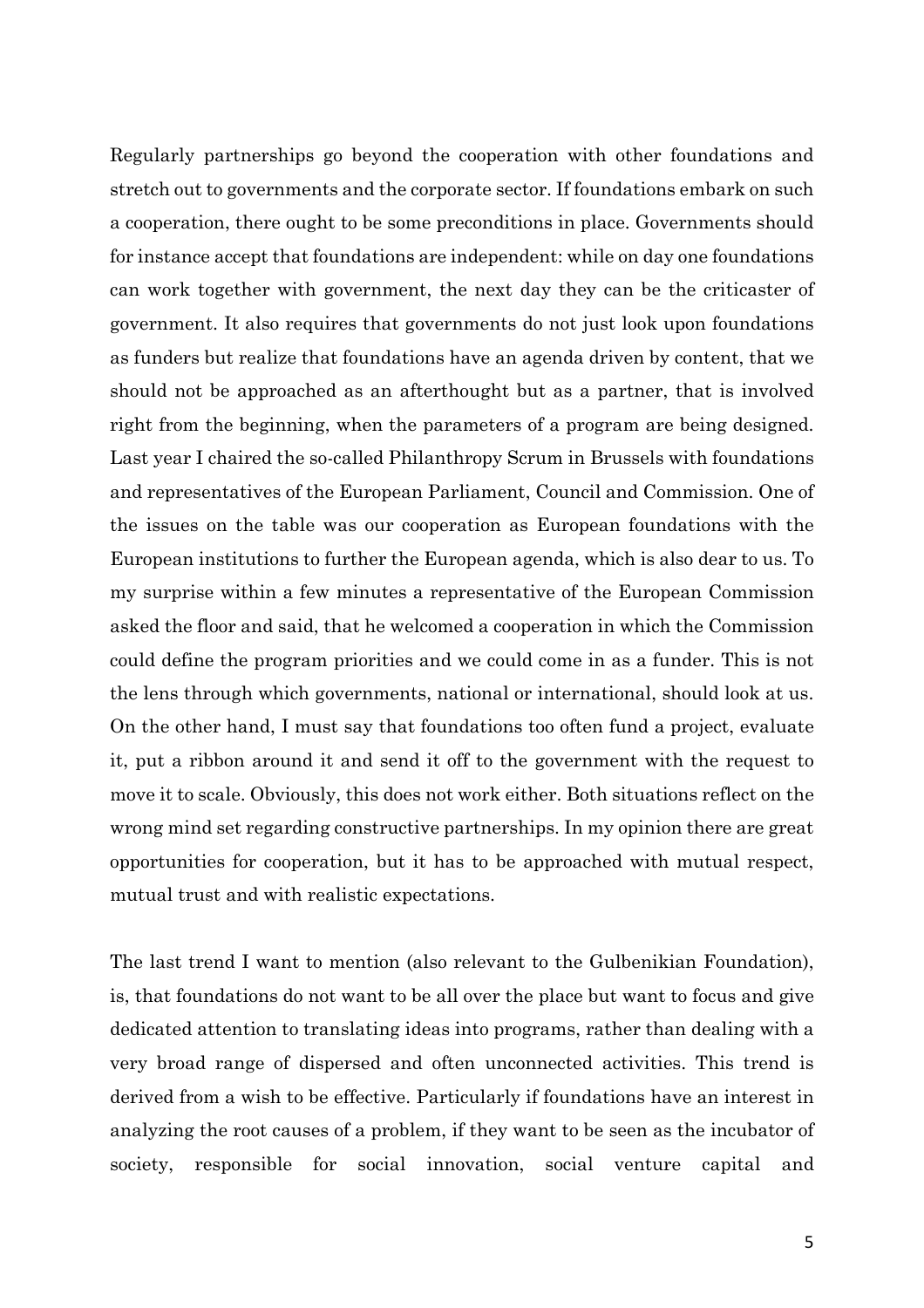Regularly partnerships go beyond the cooperation with other foundations and stretch out to governments and the corporate sector. If foundations embark on such a cooperation, there ought to be some preconditions in place. Governments should for instance accept that foundations are independent: while on day one foundations can work together with government, the next day they can be the criticaster of government. It also requires that governments do not just look upon foundations as funders but realize that foundations have an agenda driven by content, that we should not be approached as an afterthought but as a partner, that is involved right from the beginning, when the parameters of a program are being designed. Last year I chaired the so-called Philanthropy Scrum in Brussels with foundations and representatives of the European Parliament, Council and Commission. One of the issues on the table was our cooperation as European foundations with the European institutions to further the European agenda, which is also dear to us. To my surprise within a few minutes a representative of the European Commission asked the floor and said, that he welcomed a cooperation in which the Commission could define the program priorities and we could come in as a funder. This is not the lens through which governments, national or international, should look at us. On the other hand, I must say that foundations too often fund a project, evaluate it, put a ribbon around it and send it off to the government with the request to move it to scale. Obviously, this does not work either. Both situations reflect on the wrong mind set regarding constructive partnerships. In my opinion there are great opportunities for cooperation, but it has to be approached with mutual respect, mutual trust and with realistic expectations.

The last trend I want to mention (also relevant to the Gulbenikian Foundation), is, that foundations do not want to be all over the place but want to focus and give dedicated attention to translating ideas into programs, rather than dealing with a very broad range of dispersed and often unconnected activities. This trend is derived from a wish to be effective. Particularly if foundations have an interest in analyzing the root causes of a problem, if they want to be seen as the incubator of society, responsible for social innovation, social venture capital and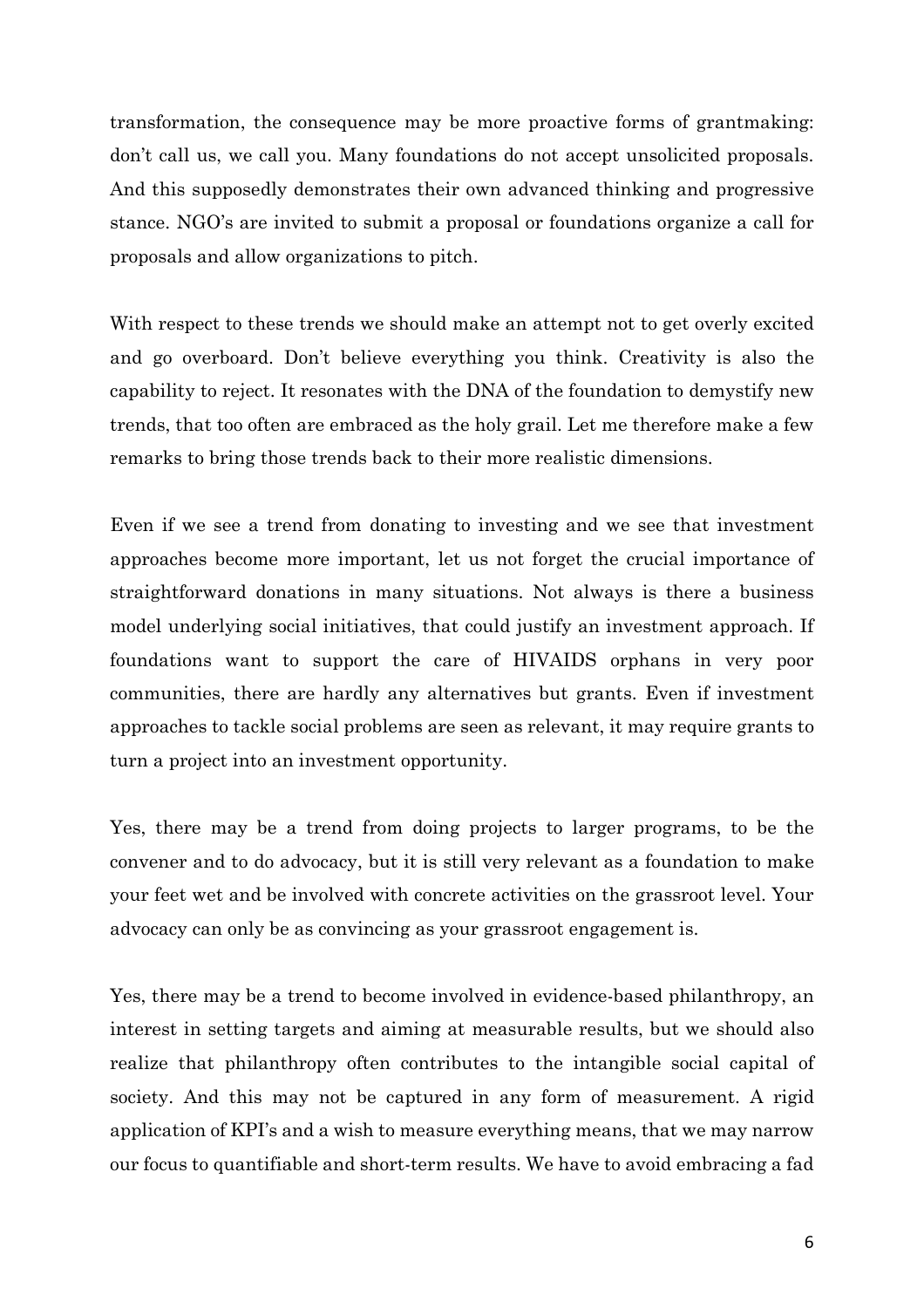transformation, the consequence may be more proactive forms of grantmaking: don't call us, we call you. Many foundations do not accept unsolicited proposals. And this supposedly demonstrates their own advanced thinking and progressive stance. NGO's are invited to submit a proposal or foundations organize a call for proposals and allow organizations to pitch.

With respect to these trends we should make an attempt not to get overly excited and go overboard. Don't believe everything you think. Creativity is also the capability to reject. It resonates with the DNA of the foundation to demystify new trends, that too often are embraced as the holy grail. Let me therefore make a few remarks to bring those trends back to their more realistic dimensions.

Even if we see a trend from donating to investing and we see that investment approaches become more important, let us not forget the crucial importance of straightforward donations in many situations. Not always is there a business model underlying social initiatives, that could justify an investment approach. If foundations want to support the care of HIVAIDS orphans in very poor communities, there are hardly any alternatives but grants. Even if investment approaches to tackle social problems are seen as relevant, it may require grants to turn a project into an investment opportunity.

Yes, there may be a trend from doing projects to larger programs, to be the convener and to do advocacy, but it is still very relevant as a foundation to make your feet wet and be involved with concrete activities on the grassroot level. Your advocacy can only be as convincing as your grassroot engagement is.

Yes, there may be a trend to become involved in evidence-based philanthropy, an interest in setting targets and aiming at measurable results, but we should also realize that philanthropy often contributes to the intangible social capital of society. And this may not be captured in any form of measurement. A rigid application of KPI's and a wish to measure everything means, that we may narrow our focus to quantifiable and short-term results. We have to avoid embracing a fad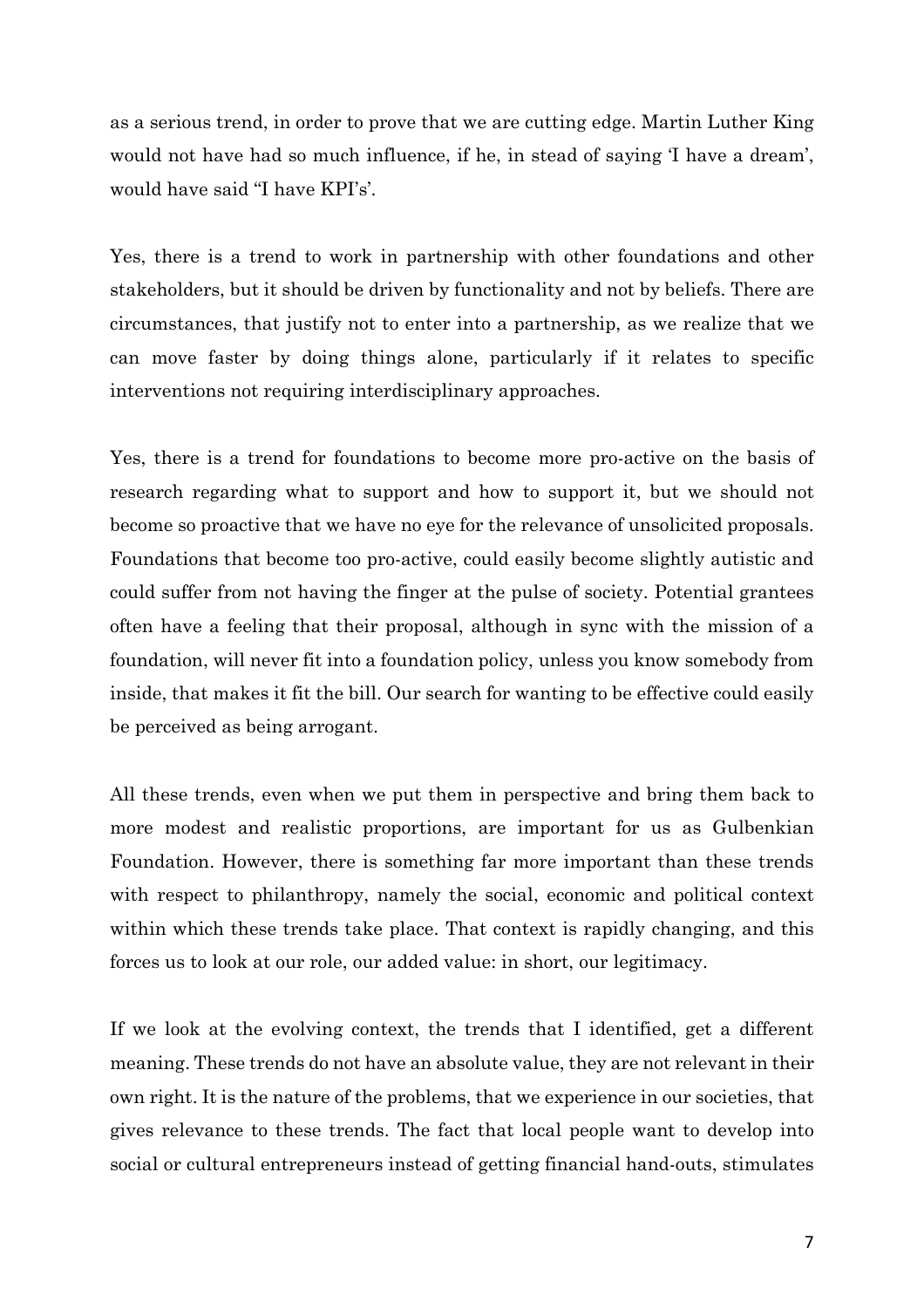as a serious trend, in order to prove that we are cutting edge. Martin Luther King would not have had so much influence, if he, in stead of saying 'I have a dream', would have said "I have KPI's'.

Yes, there is a trend to work in partnership with other foundations and other stakeholders, but it should be driven by functionality and not by beliefs. There are circumstances, that justify not to enter into a partnership, as we realize that we can move faster by doing things alone, particularly if it relates to specific interventions not requiring interdisciplinary approaches.

Yes, there is a trend for foundations to become more pro-active on the basis of research regarding what to support and how to support it, but we should not become so proactive that we have no eye for the relevance of unsolicited proposals. Foundations that become too pro-active, could easily become slightly autistic and could suffer from not having the finger at the pulse of society. Potential grantees often have a feeling that their proposal, although in sync with the mission of a foundation, will never fit into a foundation policy, unless you know somebody from inside, that makes it fit the bill. Our search for wanting to be effective could easily be perceived as being arrogant.

All these trends, even when we put them in perspective and bring them back to more modest and realistic proportions, are important for us as Gulbenkian Foundation. However, there is something far more important than these trends with respect to philanthropy, namely the social, economic and political context within which these trends take place. That context is rapidly changing, and this forces us to look at our role, our added value: in short, our legitimacy.

If we look at the evolving context, the trends that I identified, get a different meaning. These trends do not have an absolute value, they are not relevant in their own right. It is the nature of the problems, that we experience in our societies, that gives relevance to these trends. The fact that local people want to develop into social or cultural entrepreneurs instead of getting financial hand-outs, stimulates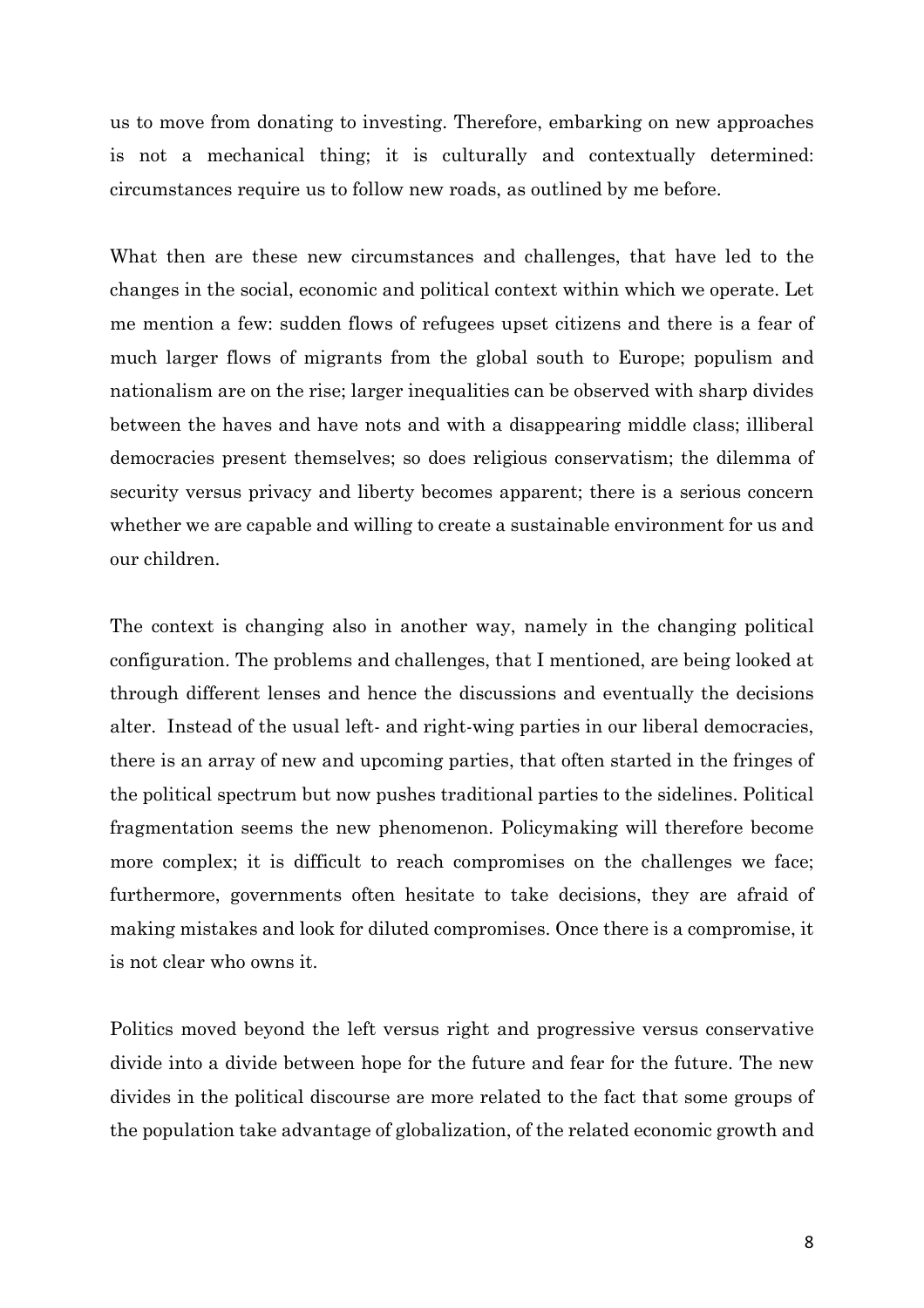us to move from donating to investing. Therefore, embarking on new approaches is not a mechanical thing; it is culturally and contextually determined: circumstances require us to follow new roads, as outlined by me before.

What then are these new circumstances and challenges, that have led to the changes in the social, economic and political context within which we operate. Let me mention a few: sudden flows of refugees upset citizens and there is a fear of much larger flows of migrants from the global south to Europe; populism and nationalism are on the rise; larger inequalities can be observed with sharp divides between the haves and have nots and with a disappearing middle class; illiberal democracies present themselves; so does religious conservatism; the dilemma of security versus privacy and liberty becomes apparent; there is a serious concern whether we are capable and willing to create a sustainable environment for us and our children.

The context is changing also in another way, namely in the changing political configuration. The problems and challenges, that I mentioned, are being looked at through different lenses and hence the discussions and eventually the decisions alter. Instead of the usual left- and right-wing parties in our liberal democracies, there is an array of new and upcoming parties, that often started in the fringes of the political spectrum but now pushes traditional parties to the sidelines. Political fragmentation seems the new phenomenon. Policymaking will therefore become more complex; it is difficult to reach compromises on the challenges we face; furthermore, governments often hesitate to take decisions, they are afraid of making mistakes and look for diluted compromises. Once there is a compromise, it is not clear who owns it.

Politics moved beyond the left versus right and progressive versus conservative divide into a divide between hope for the future and fear for the future. The new divides in the political discourse are more related to the fact that some groups of the population take advantage of globalization, of the related economic growth and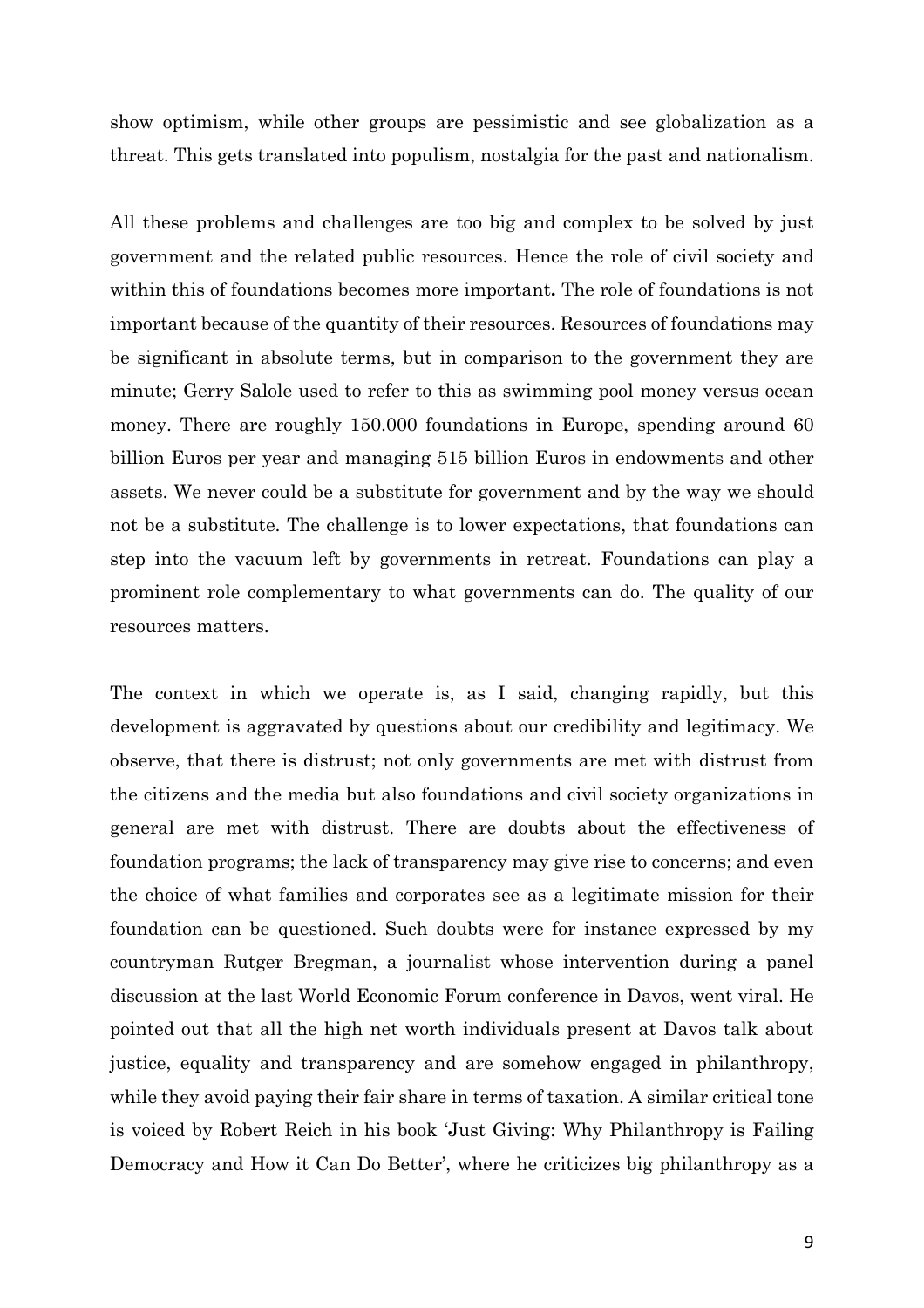show optimism, while other groups are pessimistic and see globalization as a threat. This gets translated into populism, nostalgia for the past and nationalism.

All these problems and challenges are too big and complex to be solved by just government and the related public resources. Hence the role of civil society and within this of foundations becomes more important**.** The role of foundations is not important because of the quantity of their resources. Resources of foundations may be significant in absolute terms, but in comparison to the government they are minute; Gerry Salole used to refer to this as swimming pool money versus ocean money. There are roughly 150,000 foundations in Europe, spending around 60 billion Euros per year and managing 515 billion Euros in endowments and other assets. We never could be a substitute for government and by the way we should not be a substitute. The challenge is to lower expectations, that foundations can step into the vacuum left by governments in retreat. Foundations can play a prominent role complementary to what governments can do. The quality of our resources matters.

The context in which we operate is, as I said, changing rapidly, but this development is aggravated by questions about our credibility and legitimacy. We observe, that there is distrust; not only governments are met with distrust from the citizens and the media but also foundations and civil society organizations in general are met with distrust. There are doubts about the effectiveness of foundation programs; the lack of transparency may give rise to concerns; and even the choice of what families and corporates see as a legitimate mission for their foundation can be questioned. Such doubts were for instance expressed by my countryman Rutger Bregman, a journalist whose intervention during a panel discussion at the last World Economic Forum conference in Davos, went viral. He pointed out that all the high net worth individuals present at Davos talk about justice, equality and transparency and are somehow engaged in philanthropy, while they avoid paying their fair share in terms of taxation. A similar critical tone is voiced by Robert Reich in his book 'Just Giving: Why Philanthropy is Failing Democracy and How it Can Do Better', where he criticizes big philanthropy as a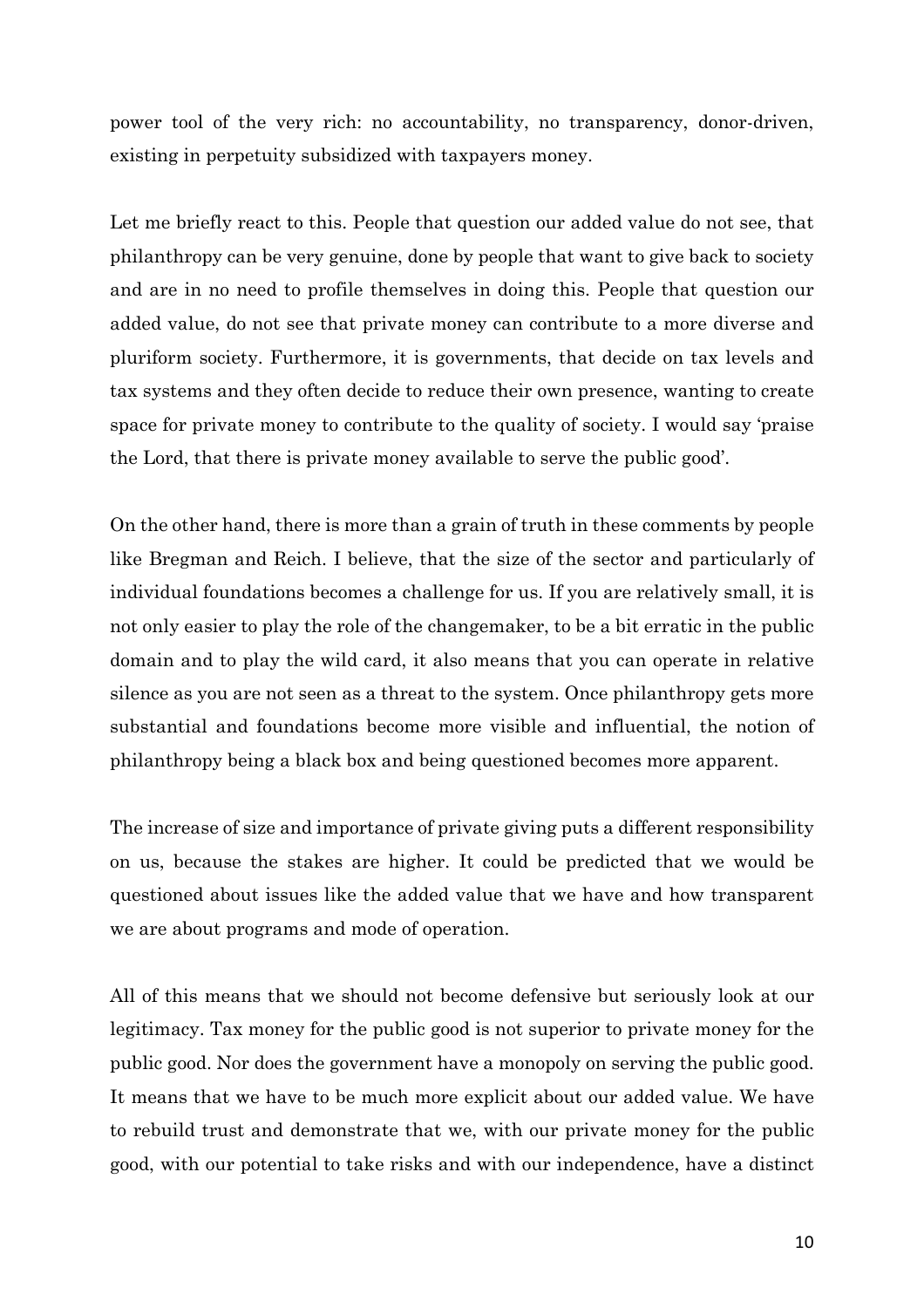power tool of the very rich: no accountability, no transparency, donor-driven, existing in perpetuity subsidized with taxpayers money.

Let me briefly react to this. People that question our added value do not see, that philanthropy can be very genuine, done by people that want to give back to society and are in no need to profile themselves in doing this. People that question our added value, do not see that private money can contribute to a more diverse and pluriform society. Furthermore, it is governments, that decide on tax levels and tax systems and they often decide to reduce their own presence, wanting to create space for private money to contribute to the quality of society. I would say 'praise the Lord, that there is private money available to serve the public good'.

On the other hand, there is more than a grain of truth in these comments by people like Bregman and Reich. I believe, that the size of the sector and particularly of individual foundations becomes a challenge for us. If you are relatively small, it is not only easier to play the role of the changemaker, to be a bit erratic in the public domain and to play the wild card, it also means that you can operate in relative silence as you are not seen as a threat to the system. Once philanthropy gets more substantial and foundations become more visible and influential, the notion of philanthropy being a black box and being questioned becomes more apparent.

The increase of size and importance of private giving puts a different responsibility on us, because the stakes are higher. It could be predicted that we would be questioned about issues like the added value that we have and how transparent we are about programs and mode of operation.

All of this means that we should not become defensive but seriously look at our legitimacy. Tax money for the public good is not superior to private money for the public good. Nor does the government have a monopoly on serving the public good. It means that we have to be much more explicit about our added value. We have to rebuild trust and demonstrate that we, with our private money for the public good, with our potential to take risks and with our independence, have a distinct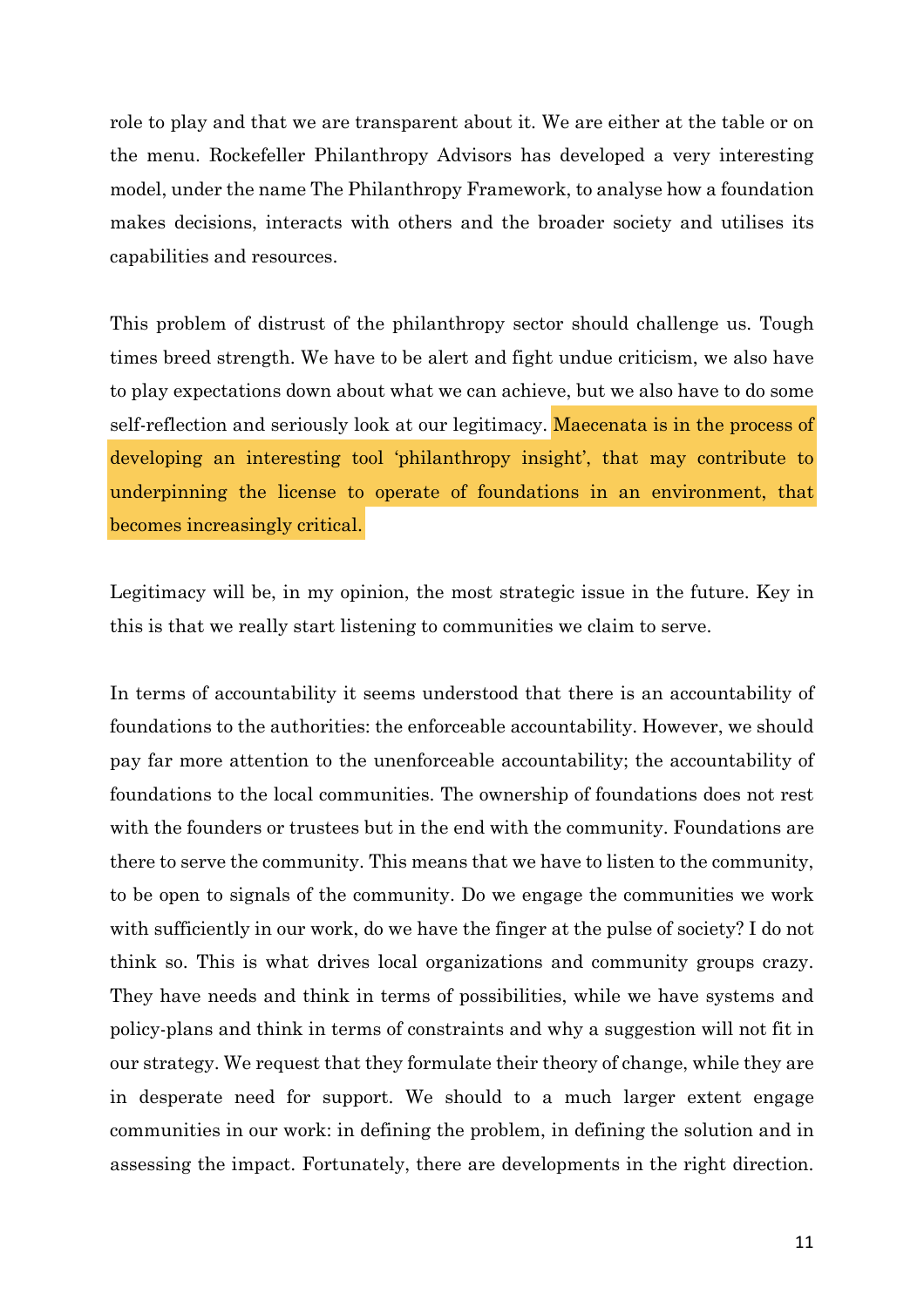role to play and that we are transparent about it. We are either at the table or on the menu. Rockefeller Philanthropy Advisors has developed a very interesting model, under the name The Philanthropy Framework, to analyse how a foundation makes decisions, interacts with others and the broader society and utilises its capabilities and resources.

This problem of distrust of the philanthropy sector should challenge us. Tough times breed strength. We have to be alert and fight undue criticism, we also have to play expectations down about what we can achieve, but we also have to do some self-reflection and seriously look at our legitimacy. Maecenata is in the process of developing an interesting tool 'philanthropy insight', that may contribute to underpinning the license to operate of foundations in an environment, that becomes increasingly critical.

Legitimacy will be, in my opinion, the most strategic issue in the future. Key in this is that we really start listening to communities we claim to serve.

In terms of accountability it seems understood that there is an accountability of foundations to the authorities: the enforceable accountability. However, we should pay far more attention to the unenforceable accountability; the accountability of foundations to the local communities. The ownership of foundations does not rest with the founders or trustees but in the end with the community. Foundations are there to serve the community. This means that we have to listen to the community, to be open to signals of the community. Do we engage the communities we work with sufficiently in our work, do we have the finger at the pulse of society? I do not think so. This is what drives local organizations and community groups crazy. They have needs and think in terms of possibilities, while we have systems and policy-plans and think in terms of constraints and why a suggestion will not fit in our strategy. We request that they formulate their theory of change, while they are in desperate need for support. We should to a much larger extent engage communities in our work: in defining the problem, in defining the solution and in assessing the impact. Fortunately, there are developments in the right direction.